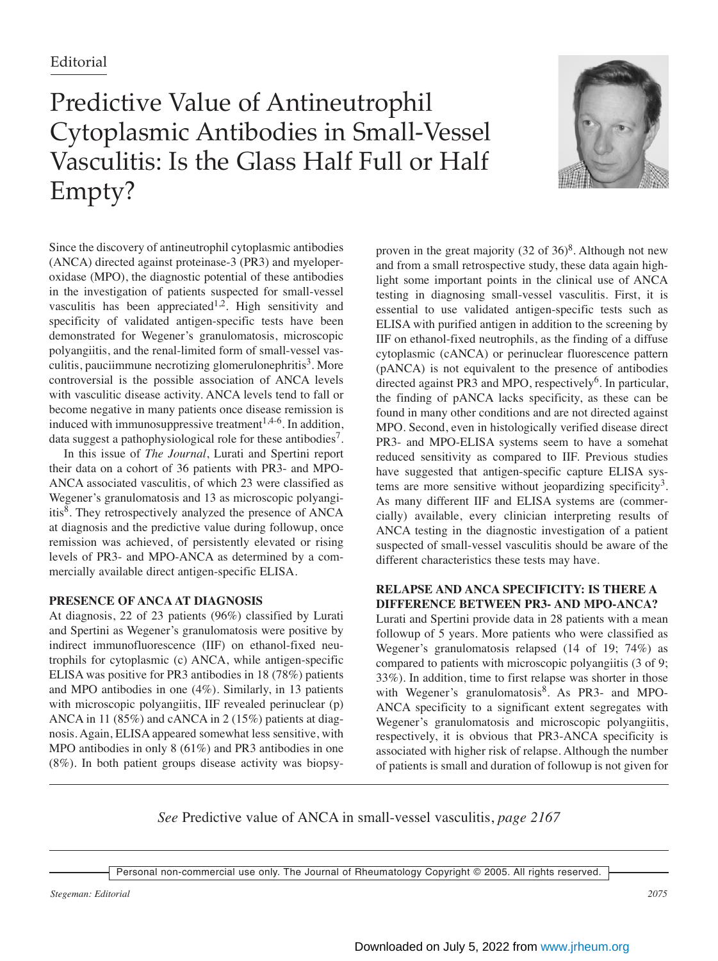# Predictive Value of Antineutrophil Cytoplasmic Antibodies in Small-Vessel Vasculitis: Is the Glass Half Full or Half Empty?



Since the discovery of antineutrophil cytoplasmic antibodies (ANCA) directed against proteinase-3 (PR3) and myeloperoxidase (MPO), the diagnostic potential of these antibodies in the investigation of patients suspected for small-vessel vasculitis has been appreciated<sup>1,2</sup>. High sensitivity and specificity of validated antigen-specific tests have been demonstrated for Wegener's granulomatosis, microscopic polyangiitis, and the renal-limited form of small-vessel vasculitis, pauciimmune necrotizing glomerulonephritis $3$ . More controversial is the possible association of ANCA levels with vasculitic disease activity. ANCA levels tend to fall or become negative in many patients once disease remission is induced with immunosuppressive treatment<sup> $1,4-6$ </sup>. In addition, data suggest a pathophysiological role for these antibodies<sup>7</sup>.

In this issue of *The Journal*, Lurati and Spertini report their data on a cohort of 36 patients with PR3- and MPO-ANCA associated vasculitis, of which 23 were classified as Wegener's granulomatosis and 13 as microscopic polyangiitis8. They retrospectively analyzed the presence of ANCA at diagnosis and the predictive value during followup, once remission was achieved, of persistently elevated or rising levels of PR3- and MPO-ANCA as determined by a commercially available direct antigen-specific ELISA.

# **PRESENCE OF ANCA AT DIAGNOSIS**

At diagnosis, 22 of 23 patients (96%) classified by Lurati and Spertini as Wegener's granulomatosis were positive by indirect immunofluorescence (IIF) on ethanol-fixed neutrophils for cytoplasmic (c) ANCA, while antigen-specific ELISA was positive for PR3 antibodies in 18 (78%) patients and MPO antibodies in one (4%). Similarly, in 13 patients with microscopic polyangiitis, IIF revealed perinuclear (p) ANCA in 11 (85%) and cANCA in 2 (15%) patients at diagnosis. Again, ELISA appeared somewhat less sensitive, with MPO antibodies in only 8 (61%) and PR3 antibodies in one (8%). In both patient groups disease activity was biopsyproven in the great majority  $(32 \text{ of } 36)^8$ . Although not new and from a small retrospective study, these data again highlight some important points in the clinical use of ANCA testing in diagnosing small-vessel vasculitis. First, it is essential to use validated antigen-specific tests such as ELISA with purified antigen in addition to the screening by IIF on ethanol-fixed neutrophils, as the finding of a diffuse cytoplasmic (cANCA) or perinuclear fluorescence pattern (pANCA) is not equivalent to the presence of antibodies directed against PR3 and MPO, respectively<sup>6</sup>. In particular, the finding of pANCA lacks specificity, as these can be found in many other conditions and are not directed against MPO. Second, even in histologically verified disease direct PR3- and MPO-ELISA systems seem to have a somehat reduced sensitivity as compared to IIF. Previous studies have suggested that antigen-specific capture ELISA systems are more sensitive without jeopardizing specificity<sup>3</sup>. As many different IIF and ELISA systems are (commercially) available, every clinician interpreting results of ANCA testing in the diagnostic investigation of a patient suspected of small-vessel vasculitis should be aware of the different characteristics these tests may have.

## **RELAPSE AND ANCA SPECIFICITY: IS THERE A DIFFERENCE BETWEEN PR3- AND MPO-ANCA?**

Lurati and Spertini provide data in 28 patients with a mean followup of 5 years. More patients who were classified as Wegener's granulomatosis relapsed (14 of 19; 74%) as compared to patients with microscopic polyangiitis (3 of 9; 33%). In addition, time to first relapse was shorter in those with Wegener's granulomatosis<sup>8</sup>. As PR3- and MPO-ANCA specificity to a significant extent segregates with Wegener's granulomatosis and microscopic polyangiitis, respectively, it is obvious that PR3-ANCA specificity is associated with higher risk of relapse. Although the number of patients is small and duration of followup is not given for

*See* Predictive value of ANCA in small-vessel vasculitis, *page 2167*

Personal non-commercial use only. The Journal of Rheumatology Copyright © 2005. All rights reserved.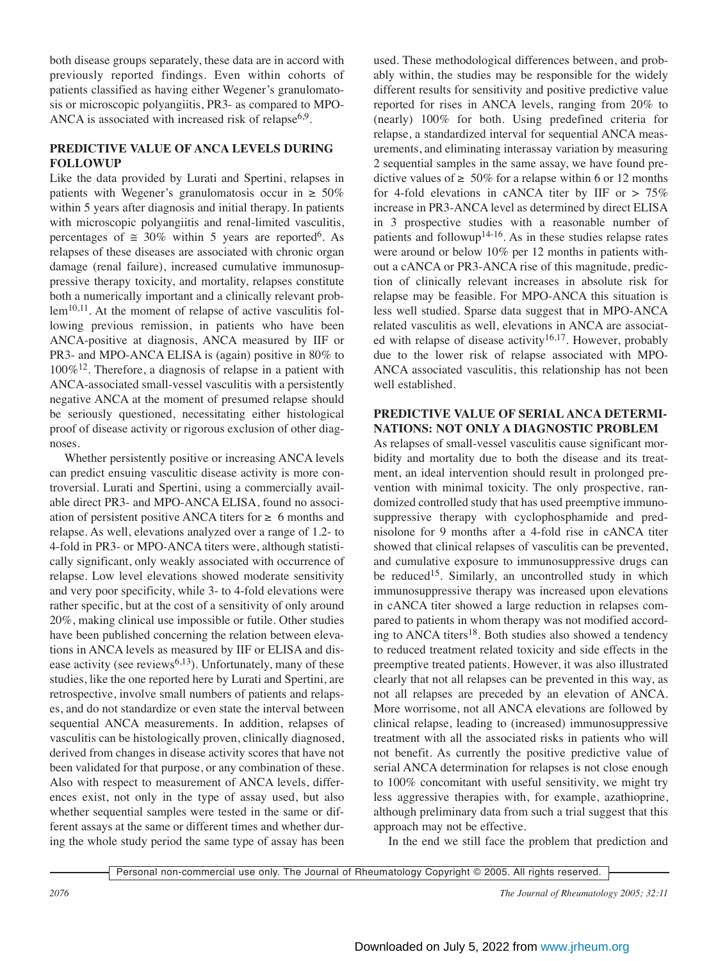both disease groups separately, these data are in accord with previously reported findings. Even within cohorts of patients classified as having either Wegener's granulomatosis or microscopic polyangiitis, PR3- as compared to MPO-ANCA is associated with increased risk of relapse $6.9$ .

## **PREDICTIVE VALUE OF ANCA LEVELS DURING FOLLOWUP**

Like the data provided by Lurati and Spertini, relapses in patients with Wegener's granulomatosis occur in  $\geq 50\%$ within 5 years after diagnosis and initial therapy. In patients with microscopic polyangiitis and renal-limited vasculitis, percentages of  $\approx 30\%$  within 5 years are reported<sup>6</sup>. As relapses of these diseases are associated with chronic organ damage (renal failure), increased cumulative immunosuppressive therapy toxicity, and mortality, relapses constitute both a numerically important and a clinically relevant problem<sup>10,11</sup>. At the moment of relapse of active vasculitis following previous remission, in patients who have been ANCA-positive at diagnosis, ANCA measured by IIF or PR3- and MPO-ANCA ELISA is (again) positive in 80% to 100%12. Therefore, a diagnosis of relapse in a patient with ANCA-associated small-vessel vasculitis with a persistently negative ANCA at the moment of presumed relapse should be seriously questioned, necessitating either histological proof of disease activity or rigorous exclusion of other diagnoses.

Whether persistently positive or increasing ANCA levels can predict ensuing vasculitic disease activity is more controversial. Lurati and Spertini, using a commercially available direct PR3- and MPO-ANCA ELISA, found no association of persistent positive ANCA titers for  $\geq 6$  months and relapse. As well, elevations analyzed over a range of 1.2- to 4-fold in PR3- or MPO-ANCA titers were, although statistically significant, only weakly associated with occurrence of relapse. Low level elevations showed moderate sensitivity and very poor specificity, while 3- to 4-fold elevations were rather specific, but at the cost of a sensitivity of only around 20%, making clinical use impossible or futile. Other studies have been published concerning the relation between elevations in ANCA levels as measured by IIF or ELISA and disease activity (see reviews<sup>6,13</sup>). Unfortunately, many of these studies, like the one reported here by Lurati and Spertini, are retrospective, involve small numbers of patients and relapses, and do not standardize or even state the interval between sequential ANCA measurements. In addition, relapses of vasculitis can be histologically proven, clinically diagnosed, derived from changes in disease activity scores that have not been validated for that purpose, or any combination of these. Also with respect to measurement of ANCA levels, differences exist, not only in the type of assay used, but also whether sequential samples were tested in the same or different assays at the same or different times and whether during the whole study period the same type of assay has been

used. These methodological differences between, and probably within, the studies may be responsible for the widely different results for sensitivity and positive predictive value reported for rises in ANCA levels, ranging from 20% to (nearly) 100% for both. Using predefined criteria for relapse, a standardized interval for sequential ANCA measurements, and eliminating interassay variation by measuring 2 sequential samples in the same assay, we have found predictive values of  $\geq 50\%$  for a relapse within 6 or 12 months for 4-fold elevations in cANCA titer by IIF or  $> 75\%$ increase in PR3-ANCA level as determined by direct ELISA in 3 prospective studies with a reasonable number of patients and followup14-16. As in these studies relapse rates were around or below 10% per 12 months in patients without a cANCA or PR3-ANCA rise of this magnitude, prediction of clinically relevant increases in absolute risk for relapse may be feasible. For MPO-ANCA this situation is less well studied. Sparse data suggest that in MPO-ANCA related vasculitis as well, elevations in ANCA are associated with relapse of disease activity<sup>16,17</sup>. However, probably due to the lower risk of relapse associated with MPO-ANCA associated vasculitis, this relationship has not been well established.

## **PREDICTIVE VALUE OF SERIAL ANCA DETERMI-NATIONS: NOT ONLY A DIAGNOSTIC PROBLEM**

As relapses of small-vessel vasculitis cause significant morbidity and mortality due to both the disease and its treatment, an ideal intervention should result in prolonged prevention with minimal toxicity. The only prospective, randomized controlled study that has used preemptive immunosuppressive therapy with cyclophosphamide and prednisolone for 9 months after a 4-fold rise in cANCA titer showed that clinical relapses of vasculitis can be prevented, and cumulative exposure to immunosuppressive drugs can be reduced<sup>15</sup>. Similarly, an uncontrolled study in which immunosuppressive therapy was increased upon elevations in cANCA titer showed a large reduction in relapses compared to patients in whom therapy was not modified according to ANCA titers<sup>18</sup>. Both studies also showed a tendency to reduced treatment related toxicity and side effects in the preemptive treated patients. However, it was also illustrated clearly that not all relapses can be prevented in this way, as not all relapses are preceded by an elevation of ANCA. More worrisome, not all ANCA elevations are followed by clinical relapse, leading to (increased) immunosuppressive treatment with all the associated risks in patients who will not benefit. As currently the positive predictive value of serial ANCA determination for relapses is not close enough to 100% concomitant with useful sensitivity, we might try less aggressive therapies with, for example, azathioprine, although preliminary data from such a trial suggest that this approach may not be effective.

In the end we still face the problem that prediction and

Personal non-commercial use only. The Journal of Rheumatology Copyright © 2005. All rights reserved.